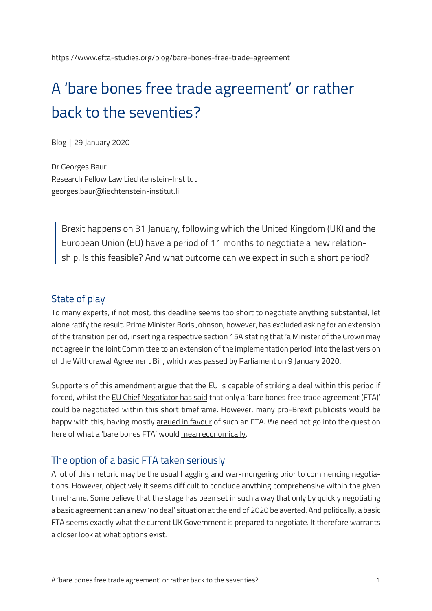# A 'bare bones free trade agreement' or rather back to the seventies?

Blog │ 29 January 2020

Dr Georges Baur Research Fellow Law Liechtenstein-Institut georges.baur@liechtenstein-institut.li

Brexit happens on 31 January, following which the United Kingdom (UK) and the European Union (EU) have a period of 11 months to negotiate a new relationship. Is this feasible? And what outcome can we expect in such a short period?

#### State of play

To many experts, if not most, this deadline [seems too short](https://www.theguardian.com/politics/2019/nov/06/can-britain-reach-a-trade-deal-with-the-eu-by-the-end-of-2020) to negotiate anything substantial, let alone ratify the result. Prime Minister Boris Johnson, however, has excluded asking for an extension of the transition period, inserting a respective section 15A stating that 'a Minister of the Crown may not agree in the Joint Committee to an extension of the implementation period' into the last version of the [Withdrawal Agreement Bill,](https://publications.parliament.uk/pa/bills/lbill/58-01/016/5801016.pdf) which was passed by Parliament on 9 January 2020.

Supporters [of this amendment argue](https://brexitcentral.com/if-boris-johnson-secures-a-majority-the-transition-period-will-not-be-extended-beyond-next-year/) that the EU is capable of striking a deal within this period if forced, whilst the [EU Chief Negotiator has said](https://www.businessinsider.com/eu-uk-will-only-be-given-bare-bones-trade-deal-after-brexit-2019-11?r=US&IR=T) that only a 'bare bones free trade agreement (FTA)' could be negotiated within this short timeframe. However, many pro-Brexit publicists would be happy with this, having mostly [argued in favour](https://briefingsforbrexit.com/dont-be-fooled-a-bare-bones-free-trade-deal-is-exactly-what-the-uk-wants/) of such an FTA. We need not go into the question here of what a 'bare bones FTA' would [mean economically.](https://ukandeu.ac.uk/research-papers/the-economic-impact-of-boris-johnsons-brexit-proposals/)

#### The option of a basic FTA taken seriously

A lot of this rhetoric may be the usual haggling and war-mongering prior to commencing negotiations. However, objectively it seems difficult to conclude anything comprehensive within the given timeframe. Some believe that the stage has been set in such a way that only by quickly negotiating a basic agreement can a new ['no deal' situation](https://www.businessinsider.com/boris-johnson-puts-no-deal-brexit-in-2020-firmly-back-on-the-table-2019-12?r=US&IR=T) at the end of 2020 be averted. And politically, a basic FTA seems exactly what the current UK Government is prepared to negotiate. It therefore warrants a closer look at what options exist.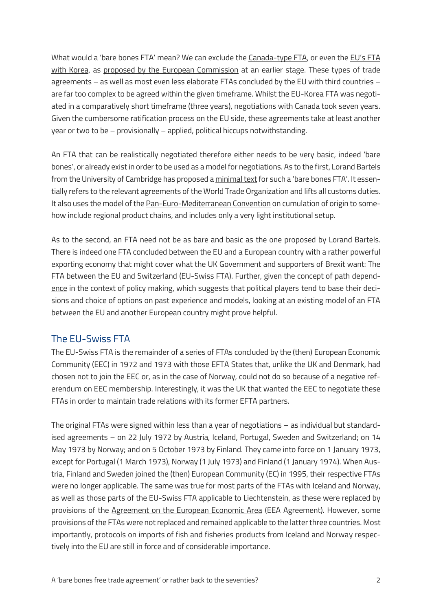What would a 'bare bones FTA' mean? We can exclude the [Canada-type FTA,](https://www.consilium.europa.eu/en/documents-publications/treaties-agreements/agreement/?id=2016017) or even the [EU's](https://eur-lex.europa.eu/legal-content/EN/ALL/?uri=OJ:L:2011:127:TOC) FTA with [Korea,](https://eur-lex.europa.eu/legal-content/EN/ALL/?uri=OJ:L:2011:127:TOC) as [proposed by the European Commission](https://ec.europa.eu/commission/sites/beta-political/files/slide_presented_by_barnier_at_euco_15-12-2017.pdf) at an earlier stage. These types of trade agreements – as well as most even less elaborate FTAs concluded by the EU with third countries – are far too complex to be agreed within the given timeframe. Whilst the EU-Korea FTA was negotiated in a comparatively short timeframe (three years), negotiations with Canada took seven years. Given the cumbersome ratification process on the EU side, these agreements take at least another year or two to be – provisionally – applied, political hiccups notwithstanding.

An FTA that can be realistically negotiated therefore either needs to be very basic, indeed 'bare bones', or already exist in order to be used as a model for negotiations. As to the first, Lorand Bartels from the University of Cambridge has proposed a [minimal text](https://tradebetablog.files.wordpress.com/2018/12/lorand-bartels_basic-uk-eu-fta.pdf) for such a 'bare bones FTA'. It essentially refers to the relevant agreements of the World Trade Organization and lifts all customs duties. It also uses the model of th[e Pan-Euro-Mediterranean Convention](https://ec.europa.eu/taxation_customs/business/calculation-customs-duties/rules-origin/general-aspects-preferential-origin/arrangements-list/paneuromediterranean-cumulation-pem-convention_en) on cumulation of origin to somehow include regional product chains, and includes only a very light institutional setup.

As to the second, an FTA need not be as bare and basic as the one proposed by Lorand Bartels. There is indeed one FTA concluded between the EU and a European country with a rather powerful exporting economy that might cover what the UK Government and supporters of Brexit want: The FTA [between the EU and Switzerland](http://eeas.europa.eu/archives/docs/switzerland/docs/trade.pdf) (EU-Swiss FTA). Further, given the concept of path [depend](https://www.britannica.com/topic/path-dependence)[ence](https://www.britannica.com/topic/path-dependence) in the context of policy making, which suggests that political players tend to base their decisions and choice of options on past experience and models, looking at an existing model of an FTA between the EU and another European country might prove helpful.

#### The EU-Swiss FTA

The EU-Swiss FTA is the remainder of a series of FTAs concluded by the (then) European Economic Community (EEC) in 1972 and 1973 with those EFTA States that, unlike the UK and Denmark, had chosen not to join the EEC or, as in the case of Norway, could not do so because of a negative referendum on EEC membership. Interestingly, it was the UK that wanted the EEC to negotiate these FTAs in order to maintain trade relations with its former EFTA partners.

The original FTAs were signed within less than a year of negotiations – as individual but standardised agreements – on 22 July 1972 by Austria, Iceland, Portugal, Sweden and Switzerland; on 14 May 1973 by Norway; and on 5 October 1973 by Finland. They came into force on 1 January 1973, except for Portugal (1 March 1973), Norway (1 July 1973) and Finland (1 January 1974). When Austria, Finland and Sweden joined the (then) European Community (EC) in 1995, their respective FTAs were no longer applicable. The same was true for most parts of the FTAs with Iceland and Norway, as well as those parts of the EU-Swiss FTA applicable to Liechtenstein, as these were replaced by provisions of the [Agreement on the European Economic Area](https://eur-lex.europa.eu/legal-content/EN/TXT/HTML/?uri=CELEX:21994A0103(01)&from=EN) (EEA Agreement). However, some provisions of the FTAs were not replaced and remained applicable to the latter three countries. Most importantly, protocols on imports of fish and fisheries products from Iceland and Norway respectively into the EU are still in force and of considerable importance.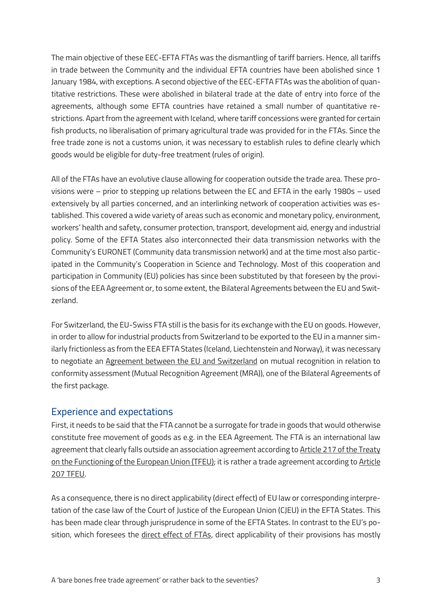The main objective of these EEC-EFTA FTAs was the dismantling of tariff barriers. Hence, all tariffs in trade between the Community and the individual EFTA countries have been abolished since 1 January 1984, with exceptions. A second objective of the EEC-EFTA FTAs was the abolition of quantitative restrictions. These were abolished in bilateral trade at the date of entry into force of the agreements, although some EFTA countries have retained a small number of quantitative restrictions. Apart from the agreement with Iceland, where tariff concessions were granted for certain fish products, no liberalisation of primary agricultural trade was provided for in the FTAs. Since the free trade zone is not a customs union, it was necessary to establish rules to define clearly which goods would be eligible for duty-free treatment (rules of origin).

All of the FTAs have an evolutive clause allowing for cooperation outside the trade area. These provisions were – prior to stepping up relations between the EC and EFTA in the early 1980s – used extensively by all parties concerned, and an interlinking network of cooperation activities was established. This covered a wide variety of areas such as economic and monetary policy, environment, workers' health and safety, consumer protection, transport, development aid, energy and industrial policy. Some of the EFTA States also interconnected their data transmission networks with the Community's EURONET (Community data transmission network) and at the time most also participated in the Community's Cooperation in Science and Technology. Most of this cooperation and participation in Community (EU) policies has since been substituted by that foreseen by the provisions of the EEA Agreement or, to some extent, the Bilateral Agreements between the EU and Switzerland.

For Switzerland, the EU-Swiss FTA still is the basis for its exchange with the EU on goods. However, in order to allow for industrial products from Switzerland to be exported to the EU in a manner similarly frictionless as from the EEA EFTA States (Iceland, Liechtenstein and Norway), it was necessary to negotiate an [Agreement between the EU and Switzerland](https://eur-lex.europa.eu/legal-content/EN/TXT/?uri=CELEX%3A22002A0430%2805%29) on mutual recognition in relation to conformity assessment (Mutual Recognition Agreement (MRA)), one of the Bilateral Agreements of the first package.

#### Experience and expectations

First, it needs to be said that the FTA cannot be a surrogate for trade in goods that would otherwise constitute free movement of goods as e.g. in the EEA Agreement. The FTA is an international law agreement that clearly falls outside an association agreement according t[o Article 217 of the Treaty](https://eur-lex.europa.eu/legal-content/EN/TXT/?uri=CELEX%3A12016E217)  [on the Functioning of the European Union](https://eur-lex.europa.eu/legal-content/EN/TXT/?uri=CELEX%3A12016E217) (TFEU); it is rather a trade agreement according to [Article](https://eur-lex.europa.eu/LexUriServ/LexUriServ.do?uri=CELEX:12008E207:en:HTML)  [207 TFEU.](https://eur-lex.europa.eu/LexUriServ/LexUriServ.do?uri=CELEX:12008E207:en:HTML)

As a consequence, there is no direct applicability (direct effect) of EU law or corresponding interpretation of the case law of the Court of Justice of the European Union (CJEU) in the EFTA States. This has been made clear through jurisprudence in some of the EFTA States. In contrast to the EU's position, which foresees the [direct effect of FTAs,](http://amsterdamlawforum.org/article/download/372/530) direct applicability of their provisions has mostly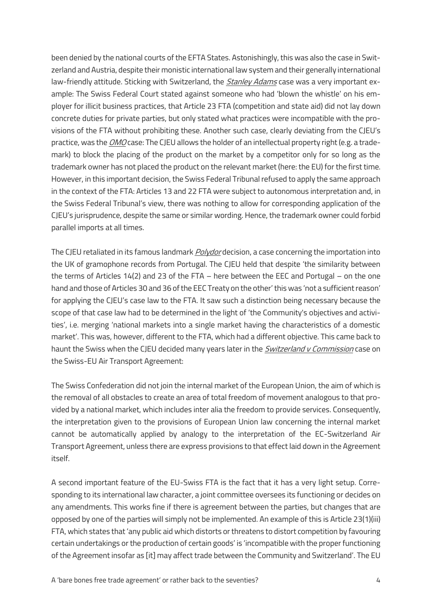been denied by the national courts of the EFTA States. Astonishingly, this was also the case in Switzerland and Austria, despite their monistic international law system and their generally international law-friendly attitude. Sticking with Switzerland, the *[Stanley Adams](http://relevancy.bger.ch/php/clir/http/index.php?highlight_docid=atf%3A%2F%2F104-IV-175%3Ade&lang=de&type=show_document#page177)* case was a very important example: The Swiss Federal Court stated against someone who had 'blown the whistle' on his employer for illicit business practices, that Article 23 FTA (competition and state aid) did not lay down concrete duties for private parties, but only stated what practices were incompatible with the provisions of the FTA without prohibiting these. Another such case, clearly deviating from the CJEU's practice, was the [OMO](https://www.bger.ch/ext/eurospider/live/de/php/clir/http/index.php?highlight_docid=atf%3A%2F%2F105-II-49%3Afr&lang=de&zoom=&type=show_document) case: The CJEU allows the holder of an intellectual property right (e.g. a trademark) to block the placing of the product on the market by a competitor only for so long as the trademark owner has not placed the product on the relevant market (here: the EU) for the first time. However, in this important decision, the Swiss Federal Tribunal refused to apply the same approach in the context of the FTA: Articles 13 and 22 FTA were subject to autonomous interpretation and, in the Swiss Federal Tribunal's view, there was nothing to allow for corresponding application of the CJEU's jurisprudence, despite the same or similar wording. Hence, the trademark owner could forbid parallel imports at all times.

The CJEU retaliated in its famous landmark *[Polydor](https://eur-lex.europa.eu/legal-content/EN/TXT/PDF/?uri=CELEX:61980CJ0270&from=DE)* decision, a case concerning the importation into the UK of gramophone records from Portugal. The CJEU held that despite 'the similarity between the terms of Articles 14(2) and 23 of the FTA – here between the EEC and Portugal – on the one hand and those of Articles 30 and 36 of the EEC Treaty on the other' this was 'not a sufficient reason' for applying the CJEU's case law to the FTA. It saw such a distinction being necessary because the scope of that case law had to be determined in the light of 'the Community's objectives and activities', i.e. merging 'national markets into a single market having the characteristics of a domestic market'. This was, however, different to the FTA, which had a different objective. This came back to haunt the Swiss when the CJEU decided many years later in the *[Switzerland v Commission](http://curia.europa.eu/juris/celex.jsf?celex=62010CJ0547&lang1=en&type=TXT&ancre=)* case on the Swiss-EU Air Transport Agreement:

The Swiss Confederation did not join the internal market of the European Union, the aim of which is the removal of all obstacles to create an area of total freedom of movement analogous to that provided by a national market, which includes inter alia the freedom to provide services. Consequently, the interpretation given to the provisions of European Union law concerning the internal market cannot be automatically applied by analogy to the interpretation of the EC-Switzerland Air Transport Agreement, unless there are express provisions to that effect laid down in the Agreement itself.

A second important feature of the EU-Swiss FTA is the fact that it has a very light setup. Corresponding to its international law character, a joint committee oversees its functioning or decides on any amendments. This works fine if there is agreement between the parties, but changes that are opposed by one of the parties will simply not be implemented. An example of this is Article 23(1)(iii) FTA, which states that 'any public aid which distorts or threatens to distort competition by favouring certain undertakings or the production of certain goods' is 'incompatible with the proper functioning of the Agreement insofar as [it] may affect trade between the Community and Switzerland'. The EU